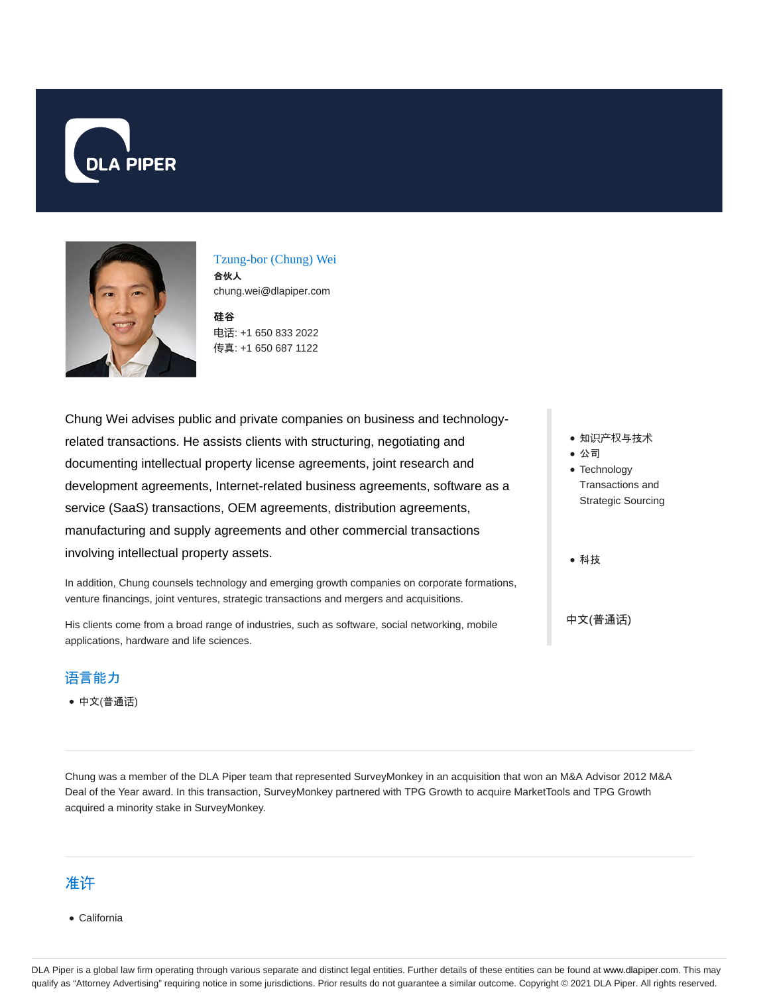



Tzung-bor (Chung) Wei 合伙人 chung.wei@dlapiper.com

硅谷 电话: +1 650 833 2022 传真: +1 650 687 1122

Chung Wei advises public and private companies on business and technologyrelated transactions. He assists clients with structuring, negotiating and documenting intellectual property license agreements, joint research and development agreements, Internet-related business agreements, software as a service (SaaS) transactions, OEM agreements, distribution agreements, manufacturing and supply agreements and other commercial transactions involving intellectual property assets.

In addition, Chung counsels technology and emerging growth companies on corporate formations, venture financings, joint ventures, strategic transactions and mergers and acquisitions.

His clients come from a broad range of industries, such as software, social networking, mobile applications, hardware and life sciences.

#### 语言能力

中文(普通话)

Chung was a member of the DLA Piper team that represented SurveyMonkey in an acquisition that won an M&A Advisor 2012 M&A Deal of the Year award. In this transaction, SurveyMonkey partnered with TPG Growth to acquire MarketTools and TPG Growth acquired a minority stake in SurveyMonkey.

#### 准许

California

DLA Piper is a global law firm operating through various separate and distinct legal entities. Further details of these entities can be found at www.dlapiper.com. This may qualify as "Attorney Advertising" requiring notice in some jurisdictions. Prior results do not guarantee a similar outcome. Copyright © 2021 DLA Piper. All rights reserved.

- 知识产权与技术
- 公司
- Technology Transactions and Strategic Sourcing
- 科技

中文(普通话)